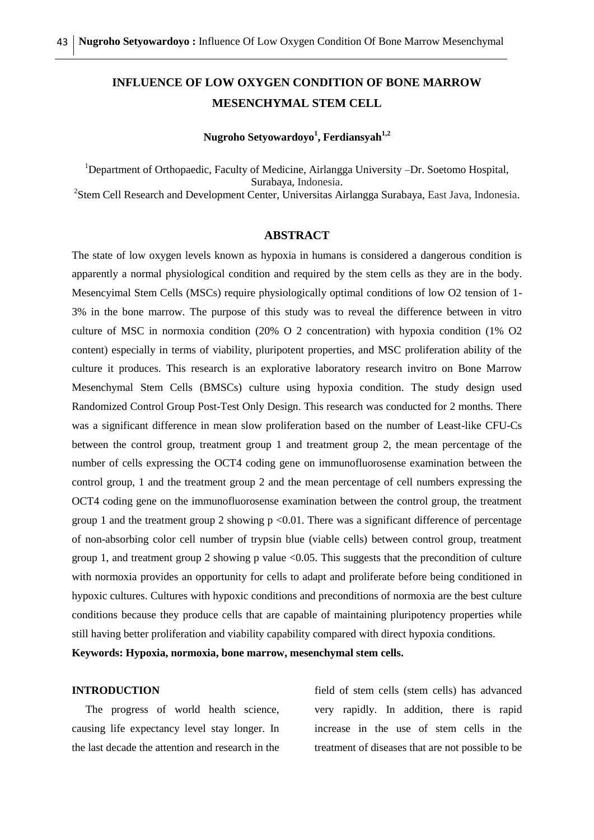# **INFLUENCE OF LOW OXYGEN CONDITION OF BONE MARROW MESENCHYMAL STEM CELL**

## **Nugroho Setyowardoyo<sup>1</sup> , Ferdiansyah1,2**

<sup>1</sup>Department of Orthopaedic, Faculty of Medicine, Airlangga University –Dr. Soetomo Hospital, Surabaya, Indonesia. <sup>2</sup>Stem Cell Research and Development Center, Universitas Airlangga Surabaya, East Java, Indonesia.

## **ABSTRACT**

The state of low oxygen levels known as hypoxia in humans is considered a dangerous condition is apparently a normal physiological condition and required by the stem cells as they are in the body. Mesencyimal Stem Cells (MSCs) require physiologically optimal conditions of low O2 tension of 1- 3% in the bone marrow. The purpose of this study was to reveal the difference between in vitro culture of MSC in normoxia condition (20% O 2 concentration) with hypoxia condition (1% O2 content) especially in terms of viability, pluripotent properties, and MSC proliferation ability of the culture it produces. This research is an explorative laboratory research invitro on Bone Marrow Mesenchymal Stem Cells (BMSCs) culture using hypoxia condition. The study design used Randomized Control Group Post-Test Only Design. This research was conducted for 2 months. There was a significant difference in mean slow proliferation based on the number of Least-like CFU-Cs between the control group, treatment group 1 and treatment group 2, the mean percentage of the number of cells expressing the OCT4 coding gene on immunofluorosense examination between the control group, 1 and the treatment group 2 and the mean percentage of cell numbers expressing the OCT4 coding gene on the immunofluorosense examination between the control group, the treatment group 1 and the treatment group 2 showing  $p < 0.01$ . There was a significant difference of percentage of non-absorbing color cell number of trypsin blue (viable cells) between control group, treatment group 1, and treatment group 2 showing p value <0.05. This suggests that the precondition of culture with normoxia provides an opportunity for cells to adapt and proliferate before being conditioned in hypoxic cultures. Cultures with hypoxic conditions and preconditions of normoxia are the best culture conditions because they produce cells that are capable of maintaining pluripotency properties while still having better proliferation and viability capability compared with direct hypoxia conditions.

**Keywords: Hypoxia, normoxia, bone marrow, mesenchymal stem cells.**

#### **INTRODUCTION**

 The progress of world health science, causing life expectancy level stay longer. In the last decade the attention and research in the field of stem cells (stem cells) has advanced very rapidly. In addition, there is rapid increase in the use of stem cells in the treatment of diseases that are not possible to be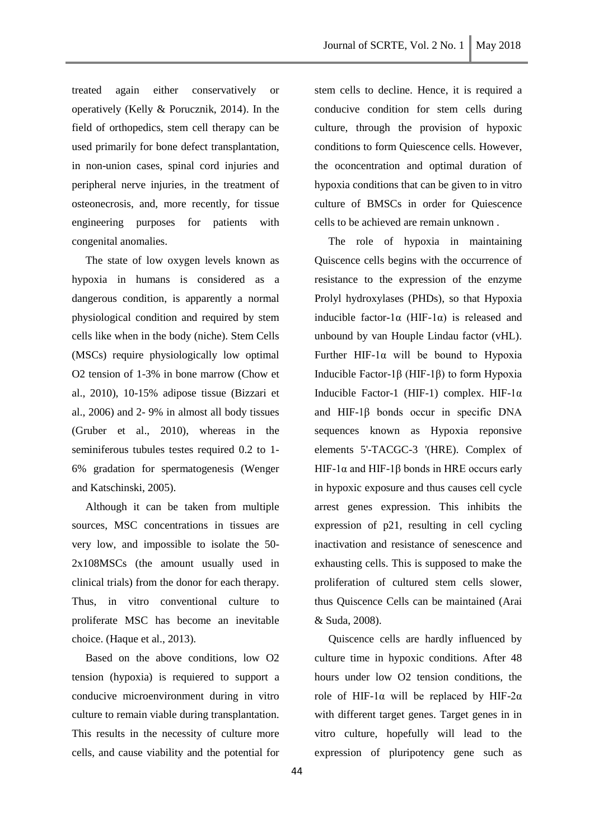treated again either conservatively or operatively (Kelly & Porucznik, 2014). In the field of orthopedics, stem cell therapy can be used primarily for bone defect transplantation, in non-union cases, spinal cord injuries and peripheral nerve injuries, in the treatment of osteonecrosis, and, more recently, for tissue engineering purposes for patients with congenital anomalies.

 The state of low oxygen levels known as hypoxia in humans is considered as a dangerous condition, is apparently a normal physiological condition and required by stem cells like when in the body (niche). Stem Cells (MSCs) require physiologically low optimal O2 tension of 1-3% in bone marrow (Chow et al., 2010), 10-15% adipose tissue (Bizzari et al., 2006) and 2- 9% in almost all body tissues (Gruber et al., 2010), whereas in the seminiferous tubules testes required 0.2 to 1- 6% gradation for spermatogenesis (Wenger and Katschinski, 2005).

 Although it can be taken from multiple sources, MSC concentrations in tissues are very low, and impossible to isolate the 50- 2x108MSCs (the amount usually used in clinical trials) from the donor for each therapy. Thus, in vitro conventional culture to proliferate MSC has become an inevitable choice. (Haque et al., 2013).

 Based on the above conditions, low O2 tension (hypoxia) is requiered to support a conducive microenvironment during in vitro culture to remain viable during transplantation. This results in the necessity of culture more cells, and cause viability and the potential for stem cells to decline. Hence, it is required a conducive condition for stem cells during culture, through the provision of hypoxic conditions to form Quiescence cells. However, the oconcentration and optimal duration of hypoxia conditions that can be given to in vitro culture of BMSCs in order for Quiescence cells to be achieved are remain unknown .

 The role of hypoxia in maintaining Quiscence cells begins with the occurrence of resistance to the expression of the enzyme Prolyl hydroxylases (PHDs), so that Hypoxia inducible factor-1 $\alpha$  (HIF-1 $\alpha$ ) is released and unbound by van Houple Lindau factor (vHL). Further HIF-1 $\alpha$  will be bound to Hypoxia Inducible Factor-1β (HIF-1β) to form Hypoxia Inducible Factor-1 (HIF-1) complex. HIF-1α and HIF-1β bonds occur in specific DNA sequences known as Hypoxia reponsive elements 5'-TACGC-3 '(HRE). Complex of HIF-1α and HIF-1β bonds in HRE occurs early in hypoxic exposure and thus causes cell cycle arrest genes expression. This inhibits the expression of p21, resulting in cell cycling inactivation and resistance of senescence and exhausting cells. This is supposed to make the proliferation of cultured stem cells slower, thus Quiscence Cells can be maintained (Arai & Suda, 2008).

 Quiscence cells are hardly influenced by culture time in hypoxic conditions. After 48 hours under low O2 tension conditions, the role of HIF-1α will be replaced by HIF-2α with different target genes. Target genes in in vitro culture, hopefully will lead to the expression of pluripotency gene such as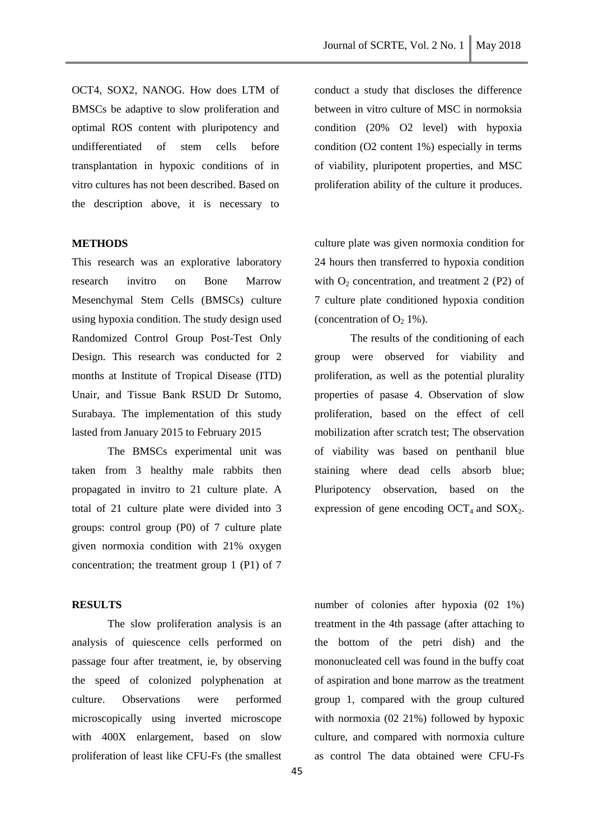OCT4, SOX2, NANOG. How does LTM of BMSCs be adaptive to slow proliferation and optimal ROS content with pluripotency and undifferentiated of stem cells before transplantation in hypoxic conditions of in vitro cultures has not been described. Based on the description above, it is necessary to

#### **METHODS**

This research was an explorative laboratory research invitro on Bone Marrow Mesenchymal Stem Cells (BMSCs) culture using hypoxia condition. The study design used Randomized Control Group Post-Test Only Design. This research was conducted for 2 months at Institute of Tropical Disease (ITD) Unair, and Tissue Bank RSUD Dr Sutomo, Surabaya. The implementation of this study lasted from January 2015 to February 2015

The BMSCs experimental unit was taken from 3 healthy male rabbits then propagated in invitro to 21 culture plate. A total of 21 culture plate were divided into 3 groups: control group (P0) of 7 culture plate given normoxia condition with 21% oxygen concentration; the treatment group 1 (P1) of 7

## **RESULTS**

The slow proliferation analysis is an analysis of quiescence cells performed on passage four after treatment, ie, by observing the speed of colonized polyphenation at culture. Observations were performed microscopically using inverted microscope with 400X enlargement, based on slow proliferation of least like CFU-Fs (the smallest

conduct a study that discloses the difference between in vitro culture of MSC in normoksia condition (20% O2 level) with hypoxia condition (O2 content 1%) especially in terms of viability, pluripotent properties, and MSC proliferation ability of the culture it produces.

culture plate was given normoxia condition for 24 hours then transferred to hypoxia condition with  $O<sub>2</sub>$  concentration, and treatment 2 (P2) of 7 culture plate conditioned hypoxia condition (concentration of  $O<sub>2</sub> 1\%$ ).

The results of the conditioning of each group were observed for viability and proliferation, as well as the potential plurality properties of pasase 4. Observation of slow proliferation, based on the effect of cell mobilization after scratch test; The observation of viability was based on penthanil blue staining where dead cells absorb blue; Pluripotency observation, based on the expression of gene encoding  $OCT_4$  and  $SOX_2$ .

number of colonies after hypoxia (02 1%) treatment in the 4th passage (after attaching to the bottom of the petri dish) and the mononucleated cell was found in the buffy coat of aspiration and bone marrow as the treatment group 1, compared with the group cultured with normoxia (02 21%) followed by hypoxic culture, and compared with normoxia culture as control The data obtained were CFU-Fs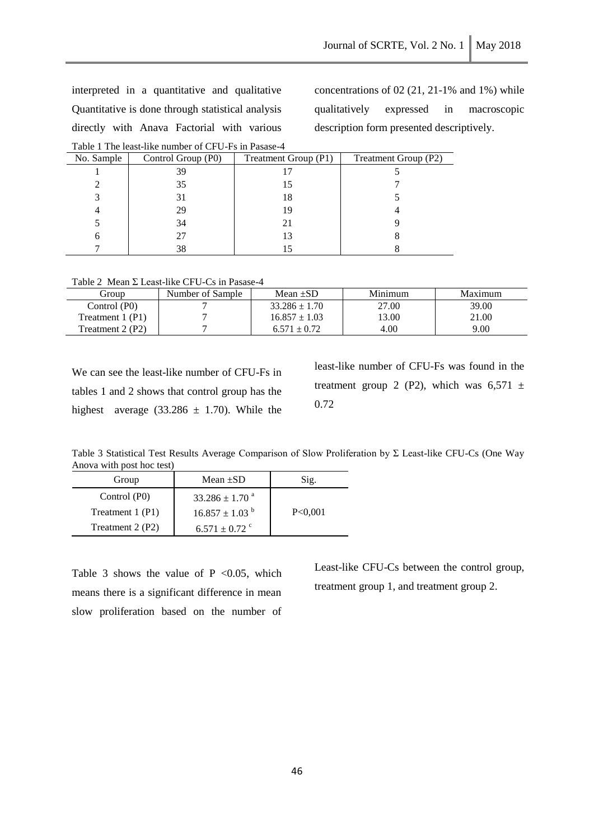interpreted in a quantitative and qualitative Quantitative is done through statistical analysis directly with Anava Factorial with various Table 1 The least-like number of CFU-Fs in Pasase-4 concentrations of 02 (21, 21-1% and 1%) while qualitatively expressed in macroscopic description form presented descriptively.

| T AVIC T THE ICASI-TINE HUIHIVEL OF CT O-T'S HIT ASASE-4 |                    |                      |                      |  |  |  |
|----------------------------------------------------------|--------------------|----------------------|----------------------|--|--|--|
| No. Sample                                               | Control Group (P0) | Treatment Group (P1) | Treatment Group (P2) |  |  |  |
|                                                          | 39                 |                      |                      |  |  |  |
|                                                          | 35                 |                      |                      |  |  |  |
|                                                          | 31                 | 18                   |                      |  |  |  |
|                                                          | 29                 | 19                   |                      |  |  |  |
|                                                          | 34                 | 21                   |                      |  |  |  |
|                                                          | 27                 |                      |                      |  |  |  |
|                                                          | 38                 |                      |                      |  |  |  |

Table 2 Mean Σ Least-like CFU-Cs in Pasase-4

| Group             | Number of Sample | Mean $\pm SD$     | Minimum | Maximum |
|-------------------|------------------|-------------------|---------|---------|
| Control (P0)      |                  | $33.286 \pm 1.70$ | 27.00   | 39.00   |
| Treatment $1(P1)$ |                  | $16.857 \pm 1.03$ | 13.00   | 21.00   |
| Treatment $2(P2)$ |                  | $6.571 + 0.72$    | 4.00    | 9.00    |

We can see the least-like number of CFU-Fs in tables 1 and 2 shows that control group has the highest average (33.286  $\pm$  1.70). While the

least-like number of CFU-Fs was found in the treatment group 2 (P2), which was  $6,571 \pm$ 0.72

Table 3 Statistical Test Results Average Comparison of Slow Proliferation by Σ Least-like CFU-Cs (One Way Anova with post hoc test)

| Group            | Mean $\pm SD$                  | Sig.    |
|------------------|--------------------------------|---------|
| Control (P0)     | $33.286 \pm 1.70$ <sup>a</sup> |         |
| Treatment 1 (P1) | $16.857 \pm 1.03$ <sup>b</sup> | P<0.001 |
| Treatment 2 (P2) | $6.571 \pm 0.72$ °             |         |

Table 3 shows the value of  $P \le 0.05$ , which means there is a significant difference in mean slow proliferation based on the number of Least-like CFU-Cs between the control group, treatment group 1, and treatment group 2.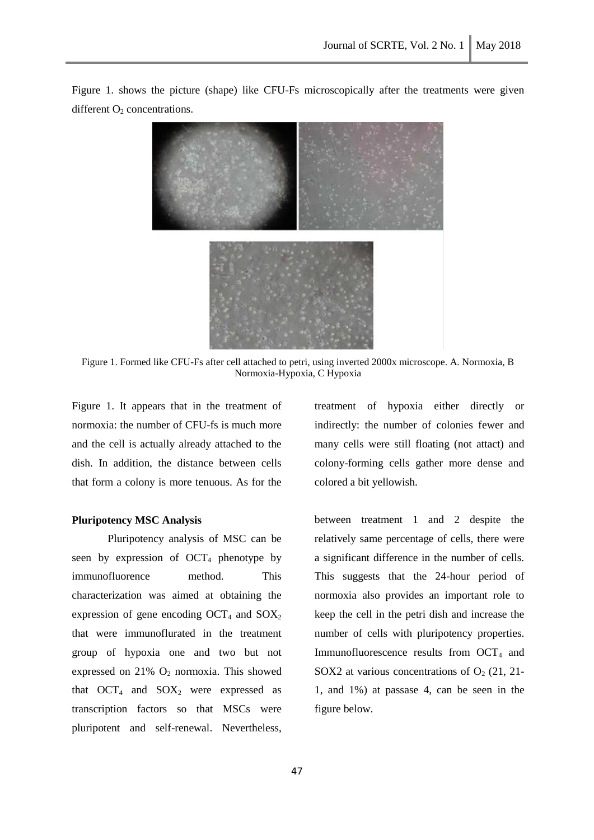

Figure 1. shows the picture (shape) like CFU-Fs microscopically after the treatments were given different  $O_2$  concentrations.

Figure 1. Formed like CFU-Fs after cell attached to petri, using inverted 2000x microscope. A. Normoxia, B Normoxia-Hypoxia, C Hypoxia

Figure 1. It appears that in the treatment of normoxia: the number of CFU-fs is much more and the cell is actually already attached to the dish. In addition, the distance between cells that form a colony is more tenuous. As for the

## **Pluripotency MSC Analysis**

Pluripotency analysis of MSC can be seen by expression of  $OCT_4$  phenotype by immunofluorence method. This characterization was aimed at obtaining the expression of gene encoding  $OCT_4$  and  $SOX_2$ that were immunoflurated in the treatment group of hypoxia one and two but not expressed on  $21\%$  O<sub>2</sub> normoxia. This showed that  $OCT_4$  and  $SOX_2$  were expressed as transcription factors so that MSCs were pluripotent and self-renewal. Nevertheless, treatment of hypoxia either directly or indirectly: the number of colonies fewer and many cells were still floating (not attact) and colony-forming cells gather more dense and colored a bit yellowish.

between treatment 1 and 2 despite the relatively same percentage of cells, there were a significant difference in the number of cells. This suggests that the 24-hour period of normoxia also provides an important role to keep the cell in the petri dish and increase the number of cells with pluripotency properties. Immunofluorescence results from  $OCT<sub>4</sub>$  and SOX2 at various concentrations of  $O<sub>2</sub>$  (21, 21-1, and 1%) at passase 4, can be seen in the figure below.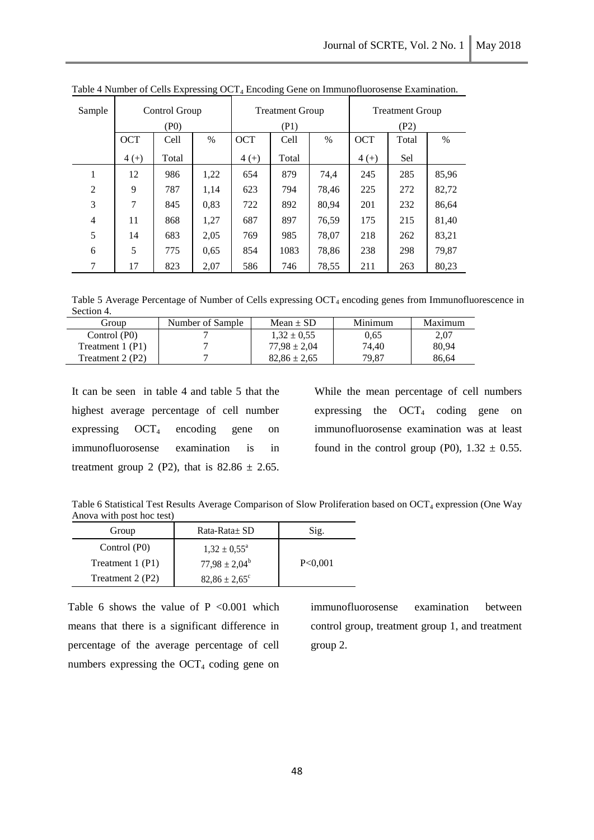| Sample         | Control Group |       |      | <b>Treatment Group</b> |       | <b>Treatment Group</b> |            |       |       |
|----------------|---------------|-------|------|------------------------|-------|------------------------|------------|-------|-------|
|                |               | (PO)  |      |                        | (P1)  |                        |            | (P2)  |       |
|                | <b>OCT</b>    | Cell  | $\%$ | <b>OCT</b>             | Cell  | $\%$                   | <b>OCT</b> | Total | $\%$  |
|                | $4 (+)$       | Total |      | $4 (+)$                | Total |                        | $4 (+)$    | Sel   |       |
|                | 12            | 986   | 1,22 | 654                    | 879   | 74,4                   | 245        | 285   | 85,96 |
| $\overline{2}$ | 9             | 787   | 1,14 | 623                    | 794   | 78,46                  | 225        | 272   | 82,72 |
| 3              | 7             | 845   | 0,83 | 722                    | 892   | 80,94                  | 201        | 232   | 86,64 |
| 4              | 11            | 868   | 1,27 | 687                    | 897   | 76,59                  | 175        | 215   | 81,40 |
| 5              | 14            | 683   | 2,05 | 769                    | 985   | 78,07                  | 218        | 262   | 83,21 |
| 6              | 5             | 775   | 0,65 | 854                    | 1083  | 78,86                  | 238        | 298   | 79,87 |
| 7              | 17            | 823   | 2,07 | 586                    | 746   | 78,55                  | 211        | 263   | 80,23 |

Table 4 Number of Cells Expressing OCT<sub>4</sub> Encoding Gene on Immunofluorosense Examination.

Table 5 Average Percentage of Number of Cells expressing OCT<sub>4</sub> encoding genes from Immunofluorescence in Section 4.

| Group            | Number of Sample | Mean $\pm$ SD    | Minimum | Maximum |
|------------------|------------------|------------------|---------|---------|
| Control (P0)     |                  | $1.32 \pm 0.55$  | 0.65    | 2.07    |
| Treatment 1 (P1) |                  | $77.98 \pm 2.04$ | 74.40   | 80.94   |
| Treatment 2 (P2) |                  | $82.86 \pm 2.65$ | 79.87   | 86.64   |

It can be seen in table 4 and table 5 that the highest average percentage of cell number expressing  $OCT_4$  encoding gene on immunofluorosense examination is in treatment group 2 (P2), that is  $82.86 \pm 2.65$ .

While the mean percentage of cell numbers expressing the  $OCT_4$  coding gene on immunofluorosense examination was at least found in the control group (P0),  $1.32 \pm 0.55$ .

Table 6 Statistical Test Results Average Comparison of Slow Proliferation based on OCT<sub>4</sub> expression (One Way Anova with post hoc test)

| Group            | Rata-Rata± SD            | Sig.    |
|------------------|--------------------------|---------|
| Control (P0)     | $1,32 \pm 0.55^{\circ}$  |         |
| Treatment 1 (P1) | $77,98 \pm 2,04^b$       | P<0.001 |
| Treatment 2 (P2) | $82,86 \pm 2,65^{\circ}$ |         |

Table 6 shows the value of  $P \le 0.001$  which means that there is a significant difference in percentage of the average percentage of cell numbers expressing the  $OCT<sub>4</sub>$  coding gene on

immunofluorosense examination between control group, treatment group 1, and treatment group 2.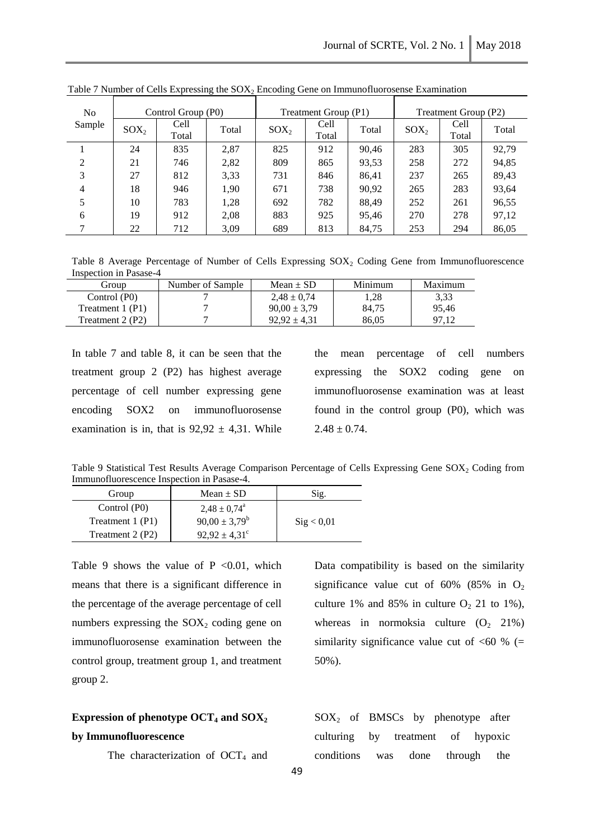| N <sub>o</sub> |         | Control Group (P0) |       | Treatment Group (P1) |       |       | Treatment Group (P2) |       |       |
|----------------|---------|--------------------|-------|----------------------|-------|-------|----------------------|-------|-------|
| Sample         | $SOX_2$ | Cell               | Total | $SOX_2$              | Cell  | Total | $SOX_2$              | Cell  | Total |
|                |         | Total              |       |                      | Total |       |                      | Total |       |
|                | 24      | 835                | 2,87  | 825                  | 912   | 90,46 | 283                  | 305   | 92,79 |
| $\overline{c}$ | 21      | 746                | 2,82  | 809                  | 865   | 93,53 | 258                  | 272   | 94,85 |
| 3              | 27      | 812                | 3,33  | 731                  | 846   | 86,41 | 237                  | 265   | 89,43 |
| 4              | 18      | 946                | 1,90  | 671                  | 738   | 90,92 | 265                  | 283   | 93,64 |
| 5              | 10      | 783                | 1,28  | 692                  | 782   | 88,49 | 252                  | 261   | 96,55 |
| 6              | 19      | 912                | 2,08  | 883                  | 925   | 95,46 | 270                  | 278   | 97,12 |
| 7              | 22      | 712                | 3,09  | 689                  | 813   | 84,75 | 253                  | 294   | 86,05 |

Table 7 Number of Cells Expressing the  $SOX_2$  Encoding Gene on Immunofluorosense Examination

Table 8 Average Percentage of Number of Cells Expressing SOX<sub>2</sub> Coding Gene from Immunofluorescence Inspection in Pasase-4

| Group            | Number of Sample | Mean $\pm$ SD    | Minimum | Maximum |
|------------------|------------------|------------------|---------|---------|
| Control (P0)     |                  | $2.48 \pm 0.74$  | .28     | 3.33    |
| Treatment 1 (P1) |                  | $90.00 \pm 3.79$ | 84.75   | 95.46   |
| Treatment 2 (P2) |                  | $92.92 \pm 4.31$ | 86,05   |         |

In table 7 and table 8, it can be seen that the treatment group 2 (P2) has highest average percentage of cell number expressing gene encoding SOX2 on immunofluorosense examination is in, that is  $92,92 \pm 4,31$ . While the mean percentage of cell numbers expressing the SOX2 coding gene on immunofluorosense examination was at least found in the control group (P0), which was  $2.48 \pm 0.74$ .

Table 9 Statistical Test Results Average Comparison Percentage of Cells Expressing Gene SOX<sup>2</sup> Coding from Immunofluorescence Inspection in Pasase-4.

| Group            | $Mean \pm SD$            | Sig.                |
|------------------|--------------------------|---------------------|
| Control (P0)     | $2.48 \pm 0.74^{\circ}$  |                     |
| Treatment 1 (P1) | $90,00 \pm 3,79^b$       | $\text{Sig} < 0.01$ |
| Treatment 2 (P2) | $92.92 \pm 4.31^{\circ}$ |                     |

Table 9 shows the value of  $P \le 0.01$ , which means that there is a significant difference in the percentage of the average percentage of cell numbers expressing the  $SOX_2$  coding gene on immunofluorosense examination between the control group, treatment group 1, and treatment group 2.

## **Expression of phenotype OCT<sup>4</sup> and SOX<sup>2</sup> by Immunofluorescence**

The characterization of  $OCT<sub>4</sub>$  and

Data compatibility is based on the similarity significance value cut of 60% (85% in  $O_2$ ) culture 1% and 85% in culture  $O<sub>2</sub>$  21 to 1%), whereas in normoksia culture  $(O_2, 21\%)$ similarity significance value cut of  $<60$  % (= 50%).

 $SOX<sub>2</sub>$  of BMSCs by phenotype after culturing by treatment of hypoxic conditions was done through the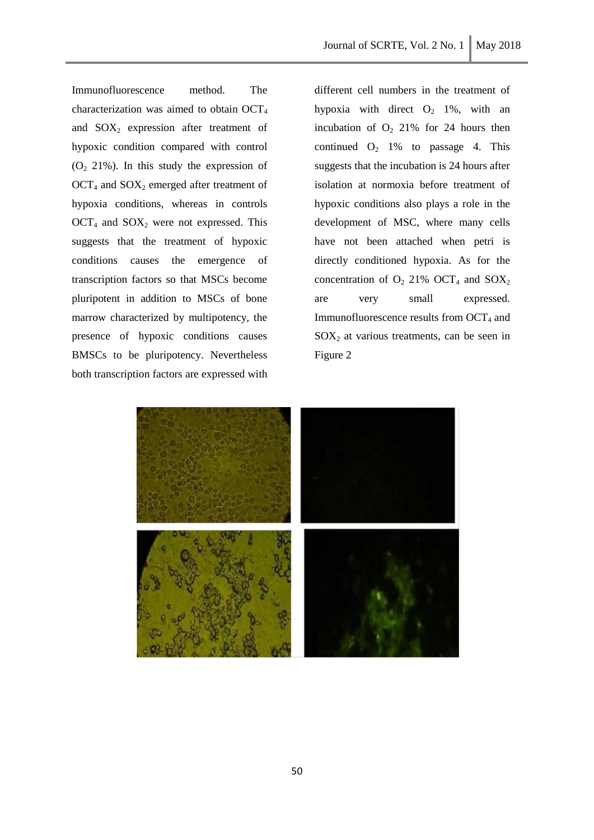Immunofluorescence method. The characterization was aimed to obtain OCT<sup>4</sup> and  $SOX<sub>2</sub>$  expression after treatment of hypoxic condition compared with control  $(O<sub>2</sub> 21%)$ . In this study the expression of  $OCT<sub>4</sub>$  and  $SOX<sub>2</sub>$  emerged after treatment of hypoxia conditions, whereas in controls  $OCT<sub>4</sub>$  and  $SOX<sub>2</sub>$  were not expressed. This suggests that the treatment of hypoxic conditions causes the emergence of transcription factors so that MSCs become pluripotent in addition to MSCs of bone marrow characterized by multipotency, the presence of hypoxic conditions causes BMSCs to be pluripotency. Nevertheless both transcription factors are expressed with

different cell numbers in the treatment of hypoxia with direct  $O_2$  1%, with an incubation of  $O_2$  21% for 24 hours then continued  $O_2$  1% to passage 4. This suggests that the incubation is 24 hours after isolation at normoxia before treatment of hypoxic conditions also plays a role in the development of MSC, where many cells have not been attached when petri is directly conditioned hypoxia. As for the concentration of  $O_2$  21% OCT<sub>4</sub> and SOX<sub>2</sub> are very small expressed. Immunofluorescence results from  $OCT<sub>4</sub>$  and  $SOX<sub>2</sub>$  at various treatments, can be seen in Figure 2

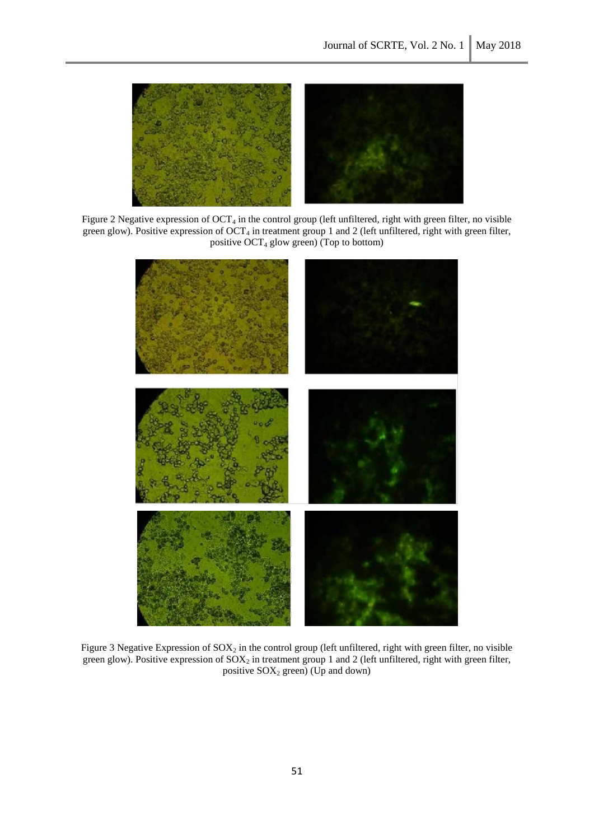

Figure 2 Negative expression of  $OCT_4$  in the control group (left unfiltered, right with green filter, no visible green glow). Positive expression of OCT<sub>4</sub> in treatment group 1 and 2 (left unfiltered, right with green filter, positive  $OCT_4$  glow green) (Top to bottom)



Figure 3 Negative Expression of  $SOX_2$  in the control group (left unfiltered, right with green filter, no visible green glow). Positive expression of  $SOX_2$  in treatment group 1 and 2 (left unfiltered, right with green filter, positive  $SOX_2$  green) (Up and down)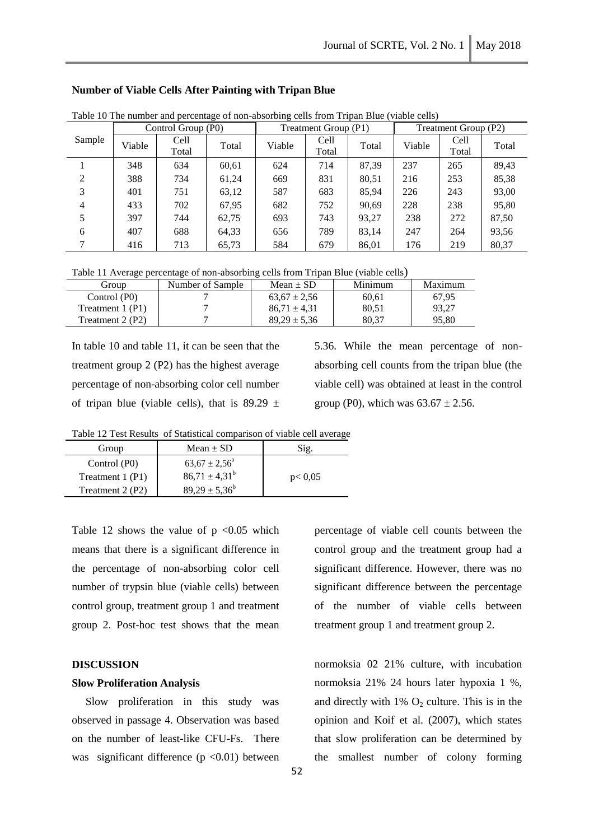| Table To The number and percentage of non-absorbing cens from Tripan Diac (viable cens) |        |                    |       |        |                      |       |        |                      |       |
|-----------------------------------------------------------------------------------------|--------|--------------------|-------|--------|----------------------|-------|--------|----------------------|-------|
|                                                                                         |        | Control Group (P0) |       |        | Treatment Group (P1) |       |        | Treatment Group (P2) |       |
| Sample                                                                                  | Viable | Cell               | Total | Viable | Cell                 | Total | Viable | Cell                 | Total |
|                                                                                         |        | Total              |       |        | Total                |       |        | Total                |       |
|                                                                                         | 348    | 634                | 60,61 | 624    | 714                  | 87.39 | 237    | 265                  | 89,43 |
| 2                                                                                       | 388    | 734                | 61,24 | 669    | 831                  | 80,51 | 216    | 253                  | 85,38 |
| 3                                                                                       | 401    | 751                | 63,12 | 587    | 683                  | 85,94 | 226    | 243                  | 93,00 |
| 4                                                                                       | 433    | 702                | 67,95 | 682    | 752                  | 90,69 | 228    | 238                  | 95,80 |
| 5                                                                                       | 397    | 744                | 62,75 | 693    | 743                  | 93,27 | 238    | 272                  | 87,50 |
| 6                                                                                       | 407    | 688                | 64,33 | 656    | 789                  | 83,14 | 247    | 264                  | 93,56 |
| 7                                                                                       | 416    | 713                | 65,73 | 584    | 679                  | 86,01 | 176    | 219                  | 80,37 |

#### **Number of Viable Cells After Painting with Tripan Blue**

Table 10 The number and percentage of non-absorbing cells from Tripan Blue (viable cells)

Table 11 Average percentage of non-absorbing cells from Tripan Blue (viable cells)

| Group            | Number of Sample | Mean $\pm$ SD    | Minimum | Maximum |
|------------------|------------------|------------------|---------|---------|
| Control (P0)     |                  | $63.67 \pm 2.56$ | 60.61   | 67.95   |
| Treatment 1 (P1) |                  | $86.71 \pm 4.31$ | 80.51   | 93.27   |
| Treatment 2 (P2) |                  | $89.29 \pm 5.36$ | 80.37   | 95.80   |

In table 10 and table 11, it can be seen that the treatment group 2 (P2) has the highest average percentage of non-absorbing color cell number of tripan blue (viable cells), that is  $89.29 \pm$ 

5.36. While the mean percentage of nonabsorbing cell counts from the tripan blue (the viable cell) was obtained at least in the control group (P0), which was  $63.67 \pm 2.56$ .

Table 12 Test Results of Statistical comparison of viable cell average

| Group            | Mean $\pm$ SD            | Sig.     |
|------------------|--------------------------|----------|
| Control (P0)     | $63.67 \pm 2.56^{\circ}$ |          |
| Treatment 1 (P1) | $86,71 \pm 4,31^b$       | p < 0.05 |
| Treatment 2 (P2) | $89,29 \pm 5,36^b$       |          |

Table 12 shows the value of  $p \le 0.05$  which means that there is a significant difference in the percentage of non-absorbing color cell number of trypsin blue (viable cells) between control group, treatment group 1 and treatment group 2. Post-hoc test shows that the mean

## **DISCUSSION**

## **Slow Proliferation Analysis**

 Slow proliferation in this study was observed in passage 4. Observation was based on the number of least-like CFU-Fs. There was significant difference  $(p \le 0.01)$  between

percentage of viable cell counts between the control group and the treatment group had a significant difference. However, there was no significant difference between the percentage of the number of viable cells between treatment group 1 and treatment group 2.

normoksia 02 21% culture, with incubation normoksia 21% 24 hours later hypoxia 1 %, and directly with  $1\%$  O<sub>2</sub> culture. This is in the opinion and Koif et al. (2007), which states that slow proliferation can be determined by the smallest number of colony forming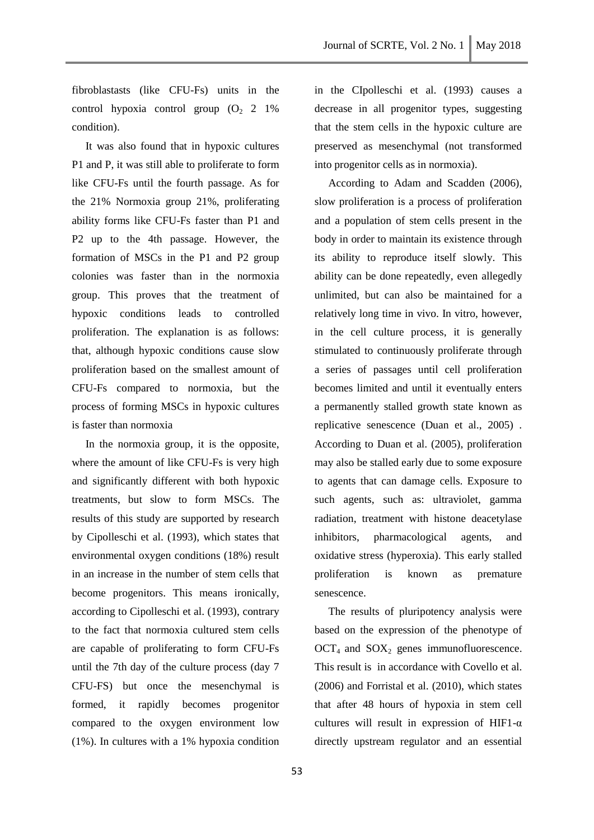fibroblastasts (like CFU-Fs) units in the control hypoxia control group  $(O_2 \ 2 \ 1\%)$ condition).

 It was also found that in hypoxic cultures P1 and P, it was still able to proliferate to form like CFU-Fs until the fourth passage. As for the 21% Normoxia group 21%, proliferating ability forms like CFU-Fs faster than P1 and P2 up to the 4th passage. However, the formation of MSCs in the P1 and P2 group colonies was faster than in the normoxia group. This proves that the treatment of hypoxic conditions leads to controlled proliferation. The explanation is as follows: that, although hypoxic conditions cause slow proliferation based on the smallest amount of CFU-Fs compared to normoxia, but the process of forming MSCs in hypoxic cultures is faster than normoxia

 In the normoxia group, it is the opposite, where the amount of like CFU-Fs is very high and significantly different with both hypoxic treatments, but slow to form MSCs. The results of this study are supported by research by Cipolleschi et al. (1993), which states that environmental oxygen conditions (18%) result in an increase in the number of stem cells that become progenitors. This means ironically, according to Cipolleschi et al. (1993), contrary to the fact that normoxia cultured stem cells are capable of proliferating to form CFU-Fs until the 7th day of the culture process (day 7 CFU-FS) but once the mesenchymal is formed, it rapidly becomes progenitor compared to the oxygen environment low (1%). In cultures with a 1% hypoxia condition

in the CIpolleschi et al. (1993) causes a decrease in all progenitor types, suggesting that the stem cells in the hypoxic culture are preserved as mesenchymal (not transformed into progenitor cells as in normoxia).

 According to Adam and Scadden (2006), slow proliferation is a process of proliferation and a population of stem cells present in the body in order to maintain its existence through its ability to reproduce itself slowly. This ability can be done repeatedly, even allegedly unlimited, but can also be maintained for a relatively long time in vivo. In vitro, however, in the cell culture process, it is generally stimulated to continuously proliferate through a series of passages until cell proliferation becomes limited and until it eventually enters a permanently stalled growth state known as replicative senescence (Duan et al., 2005) . According to Duan et al. (2005), proliferation may also be stalled early due to some exposure to agents that can damage cells. Exposure to such agents, such as: ultraviolet, gamma radiation, treatment with histone deacetylase inhibitors, pharmacological agents, and oxidative stress (hyperoxia). This early stalled proliferation is known as premature senescence.

 The results of pluripotency analysis were based on the expression of the phenotype of  $OCT<sub>4</sub>$  and  $SOX<sub>2</sub>$  genes immunofluorescence. This result is in accordance with Covello et al. (2006) and Forristal et al. (2010), which states that after 48 hours of hypoxia in stem cell cultures will result in expression of HIF1-α directly upstream regulator and an essential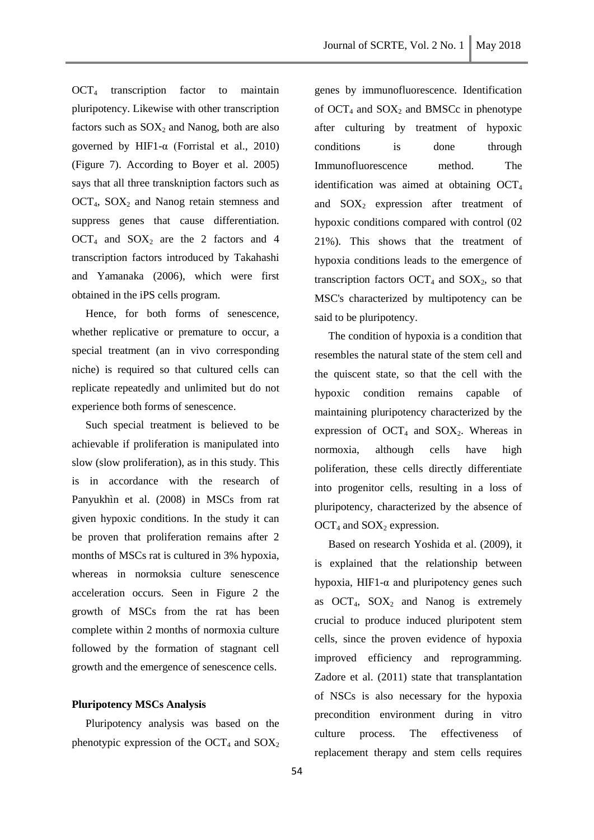$OCT<sub>4</sub>$  transcription factor to maintain pluripotency. Likewise with other transcription factors such as  $SOX_2$  and Nanog, both are also governed by HIF1-α (Forristal et al., 2010) (Figure 7). According to Boyer et al. 2005) says that all three transkniption factors such as  $OCT<sub>4</sub>$ ,  $SOX<sub>2</sub>$  and Nanog retain stemness and suppress genes that cause differentiation.  $OCT<sub>4</sub>$  and  $SOX<sub>2</sub>$  are the 2 factors and 4 transcription factors introduced by Takahashi and Yamanaka (2006), which were first obtained in the iPS cells program.

 Hence, for both forms of senescence, whether replicative or premature to occur, a special treatment (an in vivo corresponding niche) is required so that cultured cells can replicate repeatedly and unlimited but do not experience both forms of senescence.

 Such special treatment is believed to be achievable if proliferation is manipulated into slow (slow proliferation), as in this study. This is in accordance with the research of Panyukhìn et al. (2008) in MSCs from rat given hypoxic conditions. In the study it can be proven that proliferation remains after 2 months of MSCs rat is cultured in 3% hypoxia, whereas in normoksia culture senescence acceleration occurs. Seen in Figure 2 the growth of MSCs from the rat has been complete within 2 months of normoxia culture followed by the formation of stagnant cell growth and the emergence of senescence cells.

## **Pluripotency MSCs Analysis**

 Pluripotency analysis was based on the phenotypic expression of the OCT<sub>4</sub> and  $SOX_2$  genes by immunofluorescence. Identification of  $OCT_4$  and  $SOX_2$  and BMSCc in phenotype after culturing by treatment of hypoxic conditions is done through Immunofluorescence method. The identification was aimed at obtaining  $OCT<sub>4</sub>$ and  $SOX_2$  expression after treatment of hypoxic conditions compared with control (02 21%). This shows that the treatment of hypoxia conditions leads to the emergence of transcription factors  $OCT<sub>4</sub>$  and  $SOX<sub>2</sub>$ , so that MSC's characterized by multipotency can be said to be pluripotency.

 The condition of hypoxia is a condition that resembles the natural state of the stem cell and the quiscent state, so that the cell with the hypoxic condition remains capable of maintaining pluripotency characterized by the expression of OCT<sub>4</sub> and SOX<sub>2</sub>. Whereas in normoxia, although cells have high poliferation, these cells directly differentiate into progenitor cells, resulting in a loss of pluripotency, characterized by the absence of  $OCT_4$  and  $SOX_2$  expression.

 Based on research Yoshida et al. (2009), it is explained that the relationship between hypoxia, HIF1- $\alpha$  and pluripotency genes such as  $OCT_4$ ,  $SOX_2$  and Nanog is extremely crucial to produce induced pluripotent stem cells, since the proven evidence of hypoxia improved efficiency and reprogramming. Zadore et al. (2011) state that transplantation of NSCs is also necessary for the hypoxia precondition environment during in vitro culture process. The effectiveness of replacement therapy and stem cells requires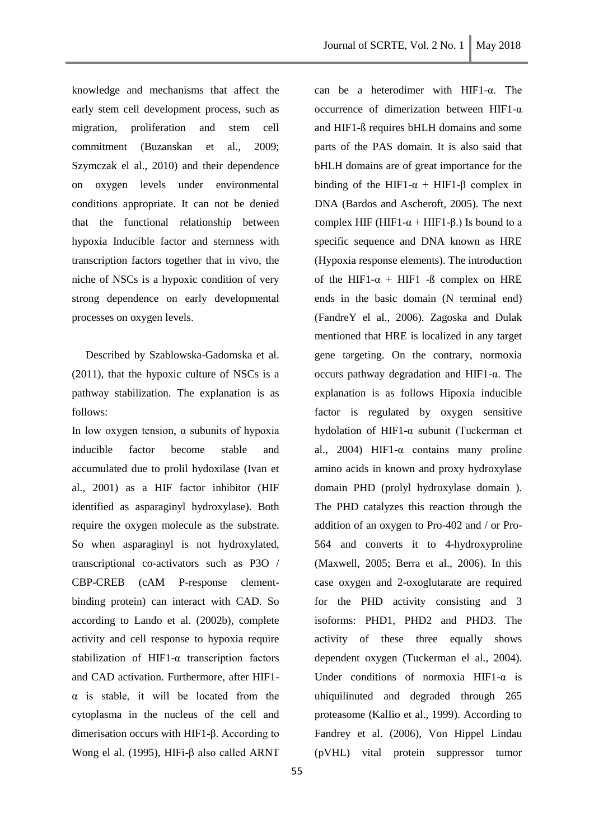knowledge and mechanisms that affect the early stem cell development process, such as migration, proliferation and stem cell commitment (Buzanskan et al., 2009; Szymczak el al., 2010) and their dependence on oxygen levels under environmental conditions appropriate. It can not be denied that the functional relationship between hypoxia Inducible factor and sternness with transcription factors together that in vivo, the niche of NSCs is a hypoxic condition of very strong dependence on early developmental processes on oxygen levels.

 Described by Szablowska-Gadomska et al. (2011), that the hypoxic culture of NSCs is a pathway stabilization. The explanation is as follows:

In low oxygen tension,  $\alpha$  subunits of hypoxia inducible factor become stable and accumulated due to prolil hydoxilase (Ivan et al., 2001) as a HIF factor inhibitor (HIF identified as asparaginyl hydroxylase). Both require the oxygen molecule as the substrate. So when asparaginyl is not hydroxylated, transcriptional co-activators such as P3O / CBP-CREB (cAM P-response clementbinding protein) can interact with CAD. So according to Lando et al. (2002b), complete activity and cell response to hypoxia require stabilization of HIF1-α transcription factors and CAD activation. Furthermore, after HIF1 α is stable, it will be located from the cytoplasma in the nucleus of the cell and dimerisation occurs with HIF1-β. According to Wong el al. (1995), HIFi-β also called ARNT

55

can be a heterodimer with HIF1-α. The occurrence of dimerization between HIF1-α and HIF1-ß requires bHLH domains and some parts of the PAS domain. It is also said that bHLH domains are of great importance for the binding of the HIF1- $\alpha$  + HIF1- $\beta$  complex in DNA (Bardos and Ascheroft, 2005). The next complex HIF (HIF1- $\alpha$  + HIF1- $\beta$ .) Is bound to a specific sequence and DNA known as HRE (Hypoxia response elements). The introduction of the HIF1- $\alpha$  + HIF1 - $\beta$  complex on HRE ends in the basic domain (N terminal end) (FandreY el al., 2006). Zagoska and Dulak mentioned that HRE is localized in any target gene targeting. On the contrary, normoxia occurs pathway degradation and HIF1-α. The explanation is as follows Hipoxia inducible factor is regulated by oxygen sensitive hydolation of HIF1-α subunit (Tuckerman et al., 2004) HIF1-α contains many proline amino acids in known and proxy hydroxylase domain PHD (prolyl hydroxylase domain ). The PHD catalyzes this reaction through the addition of an oxygen to Pro-402 and / or Pro-564 and converts it to 4-hydroxyproline (Maxwell, 2005; Berra et al., 2006). In this case oxygen and 2-oxoglutarate are required for the PHD activity consisting and 3 isoforms: PHD1, PHD2 and PHD3. The activity of these three equally shows dependent oxygen (Tuckerman el al., 2004). Under conditions of normoxia HIF1-α is uhiquilinuted and degraded through 265 proteasome (KalIio et al., 1999). According to Fandrey et al. (2006), Von Hippel Lindau (pVHL) vital protein suppressor tumor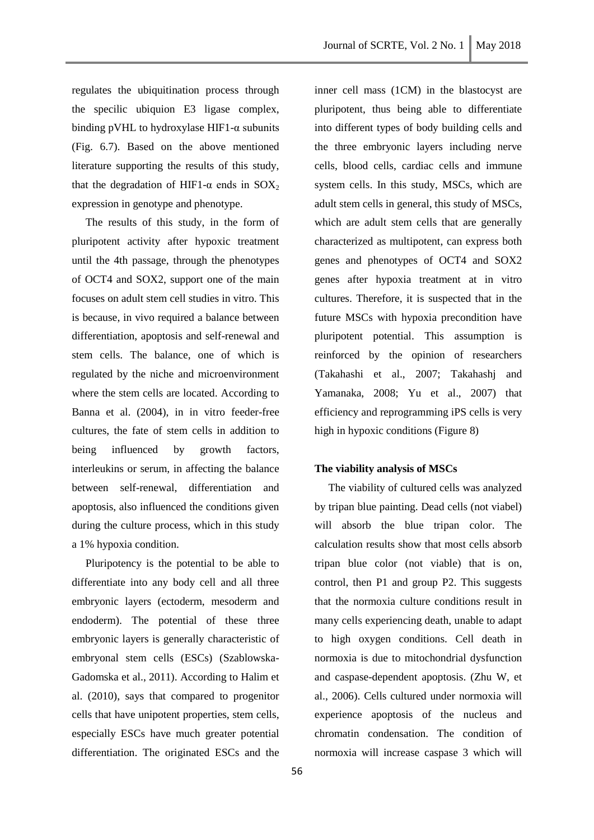regulates the ubiquitination process through the specilic ubiquion E3 ligase complex, binding pVHL to hydroxylase HIF1- $\alpha$  subunits (Fig. 6.7). Based on the above mentioned literature supporting the results of this study, that the degradation of HIF1- $\alpha$  ends in SOX<sub>2</sub> expression in genotype and phenotype.

 The results of this study, in the form of pluripotent activity after hypoxic treatment until the 4th passage, through the phenotypes of OCT4 and SOX2, support one of the main focuses on adult stem cell studies in vitro. This is because, in vivo required a balance between differentiation, apoptosis and self-renewal and stem cells. The balance, one of which is regulated by the niche and microenvironment where the stem cells are located. According to Banna et al. (2004), in in vitro feeder-free cultures, the fate of stem cells in addition to being influenced by growth factors, interleukins or serum, in affecting the balance between self-renewal, differentiation and apoptosis, also influenced the conditions given during the culture process, which in this study a 1% hypoxia condition.

 Pluripotency is the potential to be able to differentiate into any body cell and all three embryonic layers (ectoderm, mesoderm and endoderm). The potential of these three embryonic layers is generally characteristic of embryonal stem cells (ESCs) (Szablowska-Gadomska et al., 2011). According to Halim et al. (2010), says that compared to progenitor cells that have unipotent properties, stem cells, especially ESCs have much greater potential differentiation. The originated ESCs and the

inner cell mass (1CM) in the blastocyst are pluripotent, thus being able to differentiate into different types of body building cells and the three embryonic layers including nerve cells, blood cells, cardiac cells and immune system cells. In this study, MSCs, which are adult stem cells in general, this study of MSCs, which are adult stem cells that are generally characterized as multipotent, can express both genes and phenotypes of OCT4 and SOX2 genes after hypoxia treatment at in vitro cultures. Therefore, it is suspected that in the future MSCs with hypoxia precondition have pluripotent potential. This assumption is reinforced by the opinion of researchers (Takahashi et al., 2007; Takahashj and Yamanaka, 2008; Yu et al., 2007) that efficiency and reprogramming iPS cells is very high in hypoxic conditions (Figure 8)

#### **The viability analysis of MSCs**

 The viability of cultured cells was analyzed by tripan blue painting. Dead cells (not viabel) will absorb the blue tripan color. The calculation results show that most cells absorb tripan blue color (not viable) that is on, control, then P1 and group P2. This suggests that the normoxia culture conditions result in many cells experiencing death, unable to adapt to high oxygen conditions. Cell death in normoxia is due to mitochondrial dysfunction and caspase-dependent apoptosis. (Zhu W, et al., 2006). Cells cultured under normoxia will experience apoptosis of the nucleus and chromatin condensation. The condition of normoxia will increase caspase 3 which will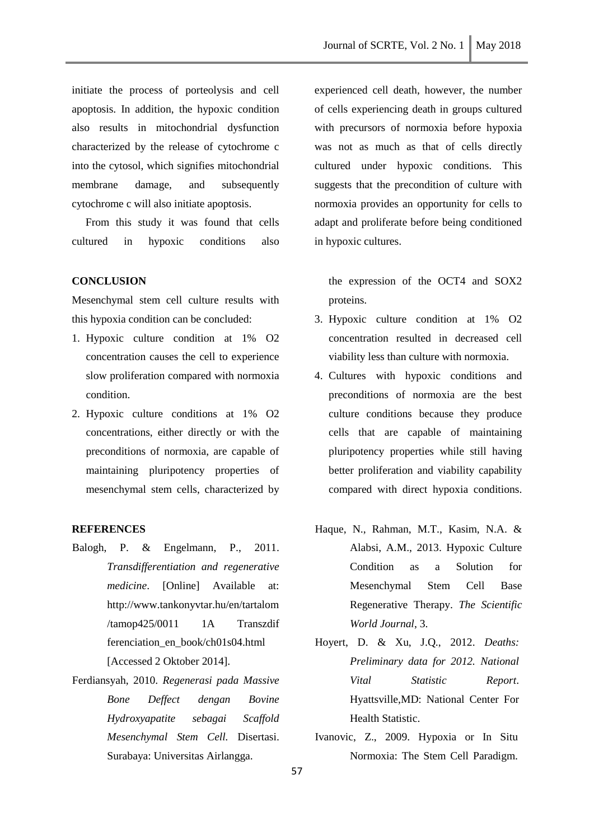initiate the process of porteolysis and cell apoptosis. In addition, the hypoxic condition also results in mitochondrial dysfunction characterized by the release of cytochrome c into the cytosol, which signifies mitochondrial membrane damage, and subsequently cytochrome c will also initiate apoptosis.

 From this study it was found that cells cultured in hypoxic conditions also

## **CONCLUSION**

Mesenchymal stem cell culture results with this hypoxia condition can be concluded:

- 1. Hypoxic culture condition at 1% O2 concentration causes the cell to experience slow proliferation compared with normoxia condition.
- 2. Hypoxic culture conditions at 1% O2 concentrations, either directly or with the preconditions of normoxia, are capable of maintaining pluripotency properties of mesenchymal stem cells, characterized by

## **REFERENCES**

- Balogh, P. & Engelmann, P., 2011. *Transdifferentiation and regenerative medicine*. [Online] Available at: [http://www.tankonyvtar.hu/en/tartalom](http://www.tankonyvtar.hu/en/tartalom/tamop425/0011%201A%20Transzdif) [/tamop425/0011](http://www.tankonyvtar.hu/en/tartalom/tamop425/0011%201A%20Transzdif) 1A Transzdif ferenciation\_en\_book/ch01s04.html [Accessed 2 Oktober 2014].
- Ferdiansyah, 2010. *Regenerasi pada Massive Bone Deffect dengan Bovine Hydroxyapatite sebagai Scaffold Mesenchymal Stem Cell.* Disertasi. Surabaya: Universitas Airlangga.

experienced cell death, however, the number of cells experiencing death in groups cultured with precursors of normoxia before hypoxia was not as much as that of cells directly cultured under hypoxic conditions. This suggests that the precondition of culture with normoxia provides an opportunity for cells to adapt and proliferate before being conditioned in hypoxic cultures.

the expression of the OCT4 and SOX2 proteins.

- 3. Hypoxic culture condition at 1% O2 concentration resulted in decreased cell viability less than culture with normoxia.
- 4. Cultures with hypoxic conditions and preconditions of normoxia are the best culture conditions because they produce cells that are capable of maintaining pluripotency properties while still having better proliferation and viability capability compared with direct hypoxia conditions.
- Haque, N., Rahman, M.T., Kasim, N.A. & Alabsi, A.M., 2013. Hypoxic Culture Condition as a Solution for Mesenchymal Stem Cell Base Regenerative Therapy. *The Scientific World Journal*, 3.
- Hoyert, D. & Xu, J.Q., 2012. *Deaths: Preliminary data for 2012. National Vital Statistic Report*. Hyattsville,MD: National Center For Health Statistic.
- Ivanovic, Z., 2009. Hypoxia or In Situ Normoxia: The Stem Cell Paradigm.